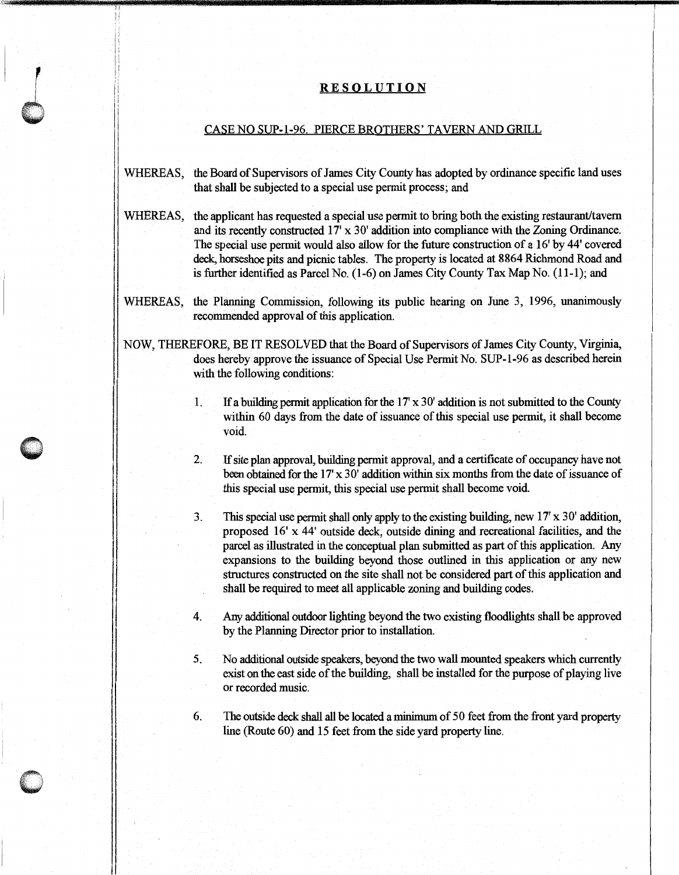## **RESOLUTION**

## CASE NO SUP-1-96. PIERCE BROTHERS' TAVERN AND GRILL

- WHEREAS, the Board of Supervisors of James City County has adopted by ordinance specific land uses that shall be subjected to a special use permit process; and
- WHEREAS, the applicant has requested a special use permit to bring both the existing restaurant/tavern and its recently constructed 17' x 30' addition into compliance with the Zoning Ordinance. The special use permit would also allow for the future construction of a 16' by 44' covered deck, horseshoe pits and picnic tables. The property is located at 8864 Richmond Road and is further identified as Parcel No. (1-6) on James City County Tax Map No. (11-1); and
- WHEREAS, the Planning Commission, following its public hearing on June 3, 1996, unanimously recommended approval of this application.
- NOW, THEREFORE, BE IT RESOLVED that the Board of Supervisors of James City County, Virginia, does hereby approve the issuance of Special Use Permit No. SUP-1-96 as described herein with the following conditions:
	- 1. If a building permit application for the 17' x 30' addition is not submitted to the County within 60 days from the date of issuance of this special use permit, it shall become void.
	- 2. If site plan approval, building permit approval, and a certificate of occupancy have not been obtained for the 17' x 30' addition within six months from the date of issuance of this special use permit, this special use permit shall become void.
	- 3. This special use permit shall only apply to the existing building, new 17' x 30' addition, proposed 16' x 44' outside deck, outside dining and recreational facilities, and the parcel as illustrated in the conceptual plan submitted as part of this application. Any expansions to the building beyond those outlined in this application or any new structures constructed on the site shall not be considered part of this application and shall be required to meet all applicable zoning and building codes.
	- 4. Any additional outdoor lighting beyond the two existing floodlights shall be approved by the Planning Director prior to installation.
	- 5. No additional outside speakers, beyond the two wall mounted speakers which currently exist on the east side of the building, shall be installed for the purpose of playing live or recorded music.
	- 6. The outside deck shall all be located a minimum of 50 feet from the front yard property line (Route 60) and 15 feet from the side yard property line.